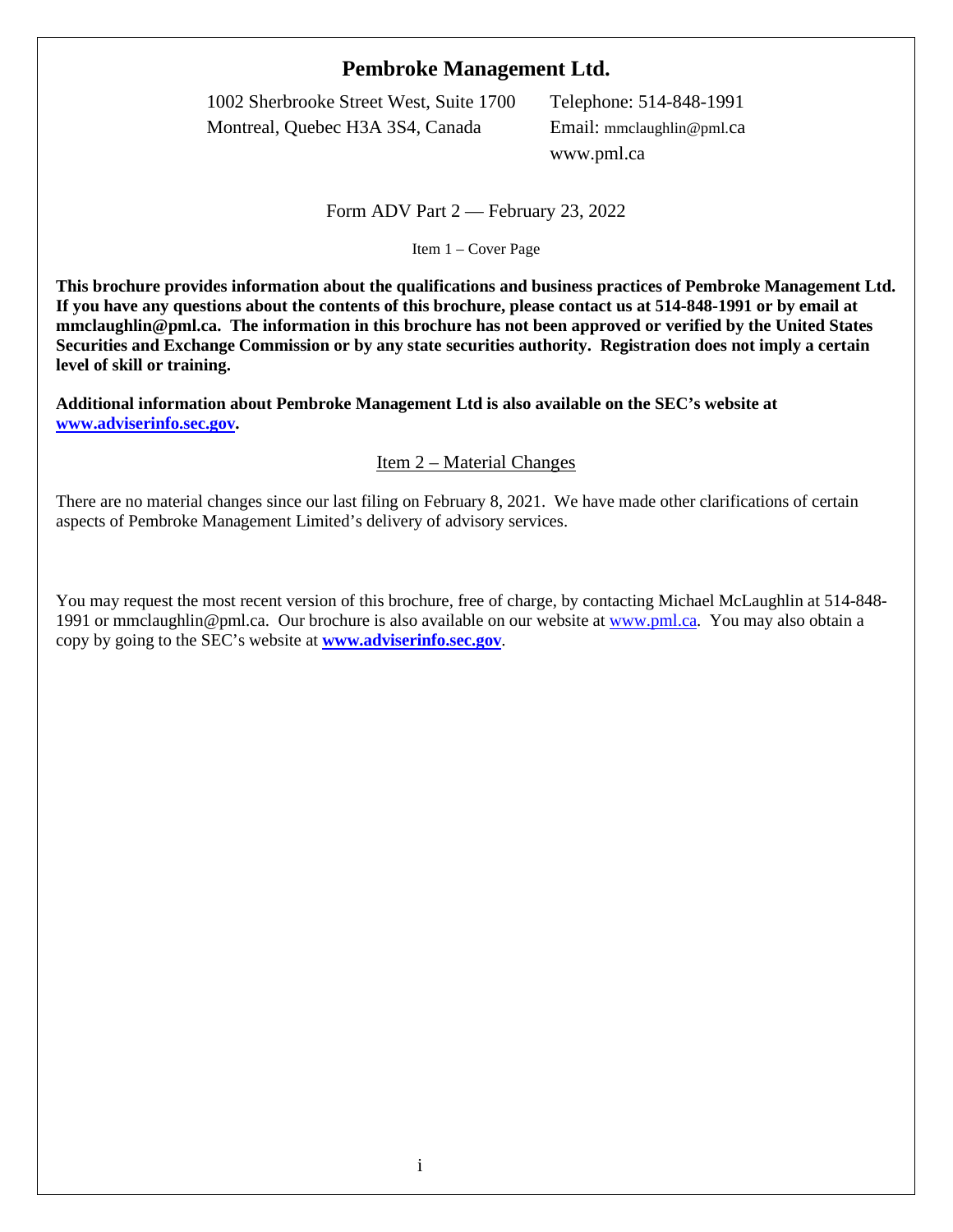# **Pembroke Management Ltd.**

1002 Sherbrooke Street West, Suite 1700 Telephone: 514-848-1991 Montreal, Quebec H3A 3S4, Canada Email: mmclaughlin@pml.ca www.pml.ca

Form ADV Part 2 — February 23, 2022

<span id="page-0-0"></span>Item 1 – Cover Page

**This brochure provides information about the qualifications and business practices of Pembroke Management Ltd. If you have any questions about the contents of this brochure, please contact us at 514-848-1991 or by email at mmclaughlin@pml.ca. The information in this brochure has not been approved or verified by the United States Securities and Exchange Commission or by any state securities authority. Registration does not imply a certain level of skill or training.**

**Additional information about Pembroke Management Ltd is also available on the SEC's website at [www.adviserinfo.sec.gov.](http://www.adviserinfo.sec.gov/)**

Item 2 – Material Changes

<span id="page-0-1"></span>There are no material changes since our last filing on February 8, 2021. We have made other clarifications of certain aspects of Pembroke Management Limited's delivery of advisory services.

You may request the most recent version of this brochure, free of charge, by contacting Michael McLaughlin at 514-848 1991 or mmclaughlin@pml.ca. Our brochure is also available on our website a[t www.pml.ca.](http://www.pml.ca/) You may also obtain a copy by going to the SEC's website at**[www.adviserinfo.sec.gov](http://www.adviserinfo.sec.gov/)**.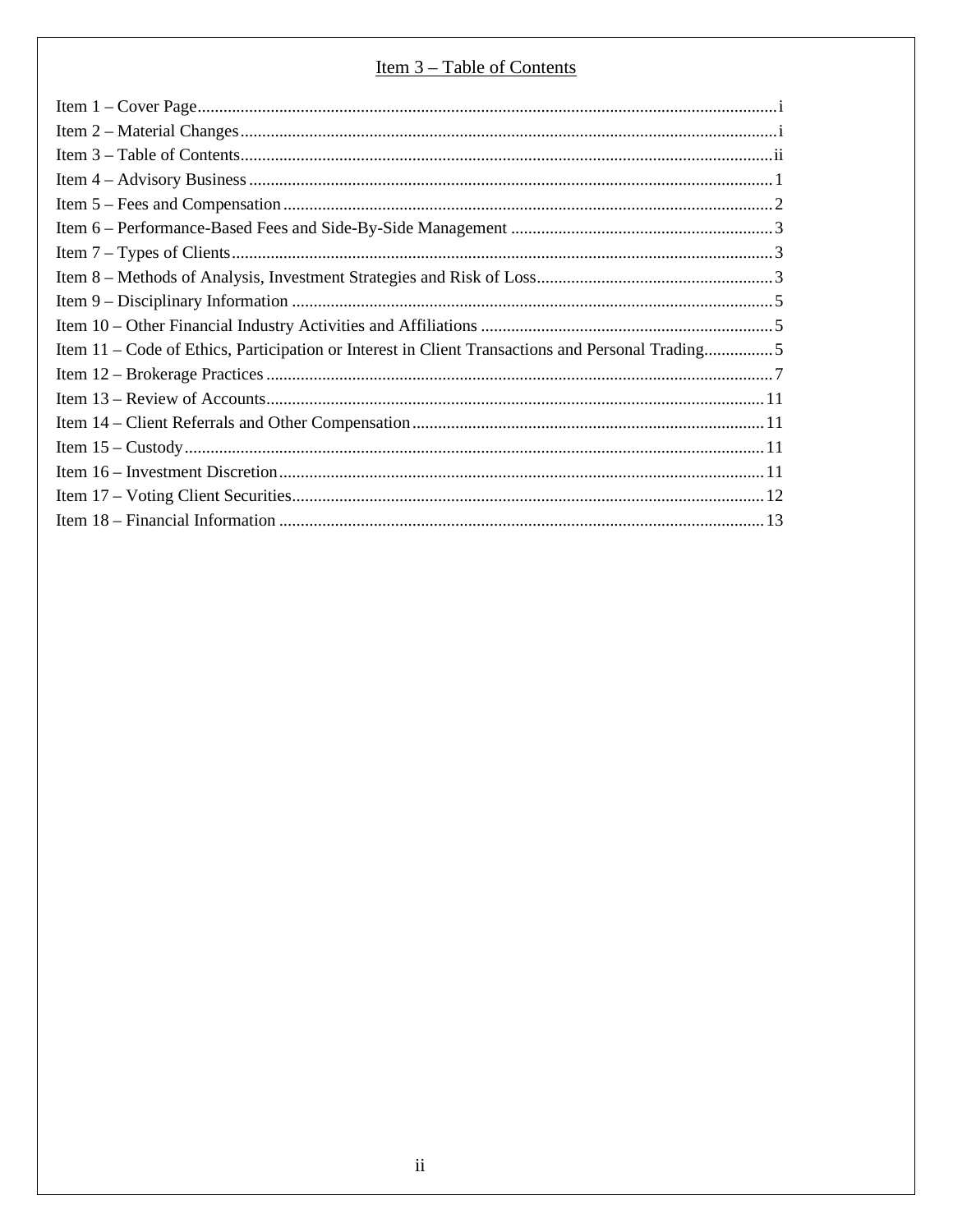# <u>Item 3 – Table of Contents</u>

<span id="page-1-0"></span>

| $\label{eq:1} \textbf{Item 1} - \textbf{Cover Page}.\textcolor{red}{\textbf{1}} \textbf{if} \textbf{if} \textbf{if} \textbf{if} \textbf{if} \textbf{if} \textbf{if} \textbf{if} \textbf{if} \textbf{if} \textbf{if} \textbf{if} \textbf{if} \textbf{if} \textbf{if} \textbf{if} \textbf{if} \textbf{if} \textbf{if} \textbf{if} \textbf{if} \textbf{if} \textbf{if} \textbf{if} \textbf{if} \textbf{if} \textbf{if} \textbf{if} \textbf{if} \textbf{if} \textbf{if$ |
|---------------------------------------------------------------------------------------------------------------------------------------------------------------------------------------------------------------------------------------------------------------------------------------------------------------------------------------------------------------------------------------------------------------------------------------------------------------------|
|                                                                                                                                                                                                                                                                                                                                                                                                                                                                     |
|                                                                                                                                                                                                                                                                                                                                                                                                                                                                     |
|                                                                                                                                                                                                                                                                                                                                                                                                                                                                     |
|                                                                                                                                                                                                                                                                                                                                                                                                                                                                     |
|                                                                                                                                                                                                                                                                                                                                                                                                                                                                     |
|                                                                                                                                                                                                                                                                                                                                                                                                                                                                     |
|                                                                                                                                                                                                                                                                                                                                                                                                                                                                     |
|                                                                                                                                                                                                                                                                                                                                                                                                                                                                     |
|                                                                                                                                                                                                                                                                                                                                                                                                                                                                     |
| Item 11 – Code of Ethics, Participation or Interest in Client Transactions and Personal Trading5                                                                                                                                                                                                                                                                                                                                                                    |
|                                                                                                                                                                                                                                                                                                                                                                                                                                                                     |
|                                                                                                                                                                                                                                                                                                                                                                                                                                                                     |
|                                                                                                                                                                                                                                                                                                                                                                                                                                                                     |
|                                                                                                                                                                                                                                                                                                                                                                                                                                                                     |
|                                                                                                                                                                                                                                                                                                                                                                                                                                                                     |
|                                                                                                                                                                                                                                                                                                                                                                                                                                                                     |
|                                                                                                                                                                                                                                                                                                                                                                                                                                                                     |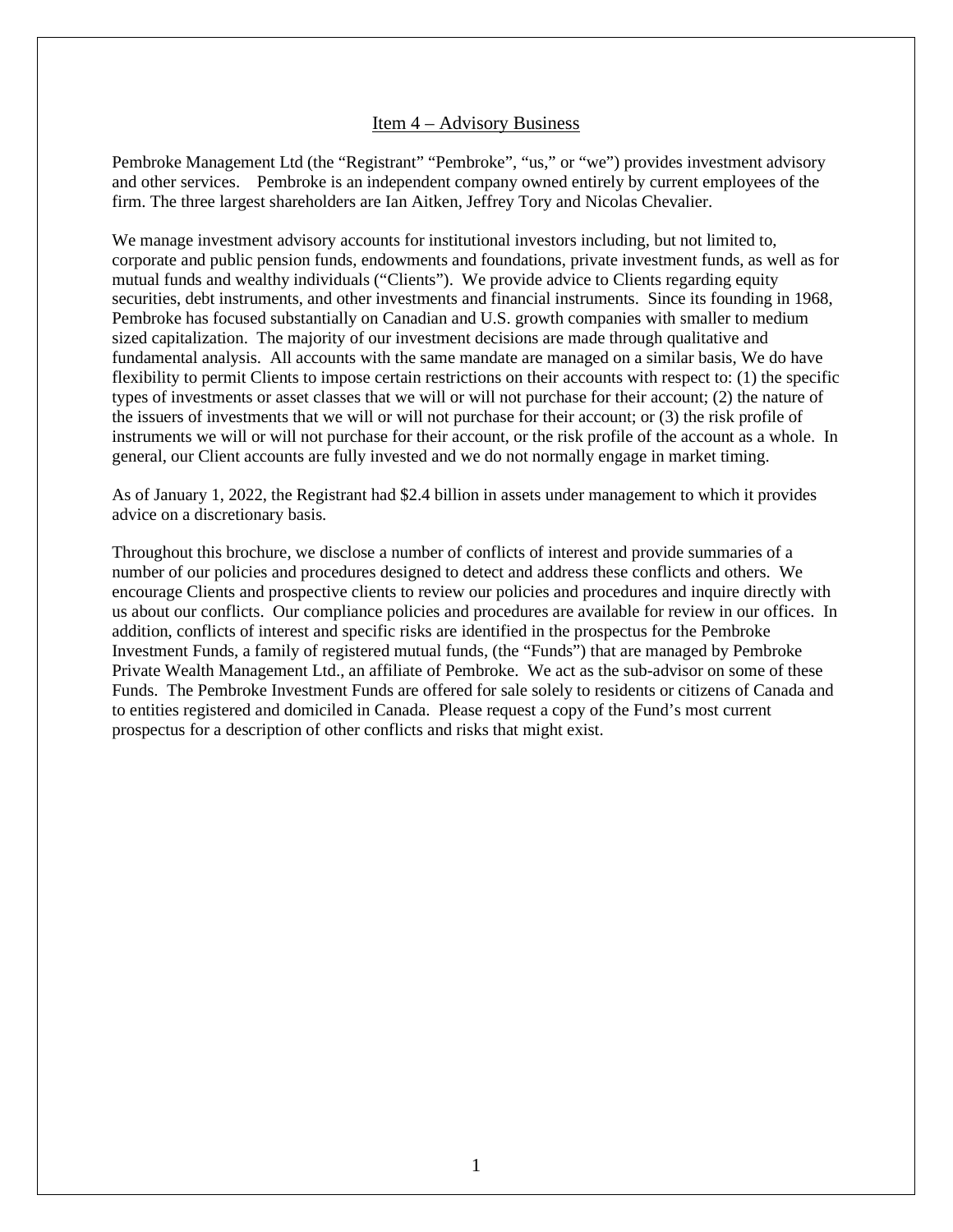#### Item 4 – Advisory Business

<span id="page-2-0"></span>Pembroke Management Ltd (the "Registrant" "Pembroke", "us," or "we") provides investment advisory and other services. Pembroke is an independent company owned entirely by current employees of the firm. The three largest shareholders are Ian Aitken, Jeffrey Tory and Nicolas Chevalier.

We manage investment advisory accounts for institutional investors including, but not limited to, corporate and public pension funds, endowments and foundations, private investment funds, as well as for mutual funds and wealthy individuals ("Clients"). We provide advice to Clients regarding equity securities, debt instruments, and other investments and financial instruments. Since its founding in 1968, Pembroke has focused substantially on Canadian and U.S. growth companies with smaller to medium sized capitalization. The majority of our investment decisions are made through qualitative and fundamental analysis. All accounts with the same mandate are managed on a similar basis, We do have flexibility to permit Clients to impose certain restrictions on their accounts with respect to: (1) the specific types of investments or asset classes that we will or will not purchase for their account; (2) the nature of the issuers of investments that we will or will not purchase for their account; or (3) the risk profile of instruments we will or will not purchase for their account, or the risk profile of the account as a whole. In general, our Client accounts are fully invested and we do not normally engage in market timing.

As of January 1, 2022, the Registrant had \$2.4 billion in assets under management to which it provides advice on a discretionary basis.

Throughout this brochure, we disclose a number of conflicts of interest and provide summaries of a number of our policies and procedures designed to detect and address these conflicts and others. We encourage Clients and prospective clients to review our policies and procedures and inquire directly with us about our conflicts. Our compliance policies and procedures are available for review in our offices. In addition, conflicts of interest and specific risks are identified in the prospectus for the Pembroke Investment Funds, a family of registered mutual funds, (the "Funds") that are managed by Pembroke Private Wealth Management Ltd., an affiliate of Pembroke. We act as the sub-advisor on some of these Funds. The Pembroke Investment Funds are offered for sale solely to residents or citizens of Canada and to entities registered and domiciled in Canada. Please request a copy of the Fund's most current prospectus for a description of other conflicts and risks that might exist.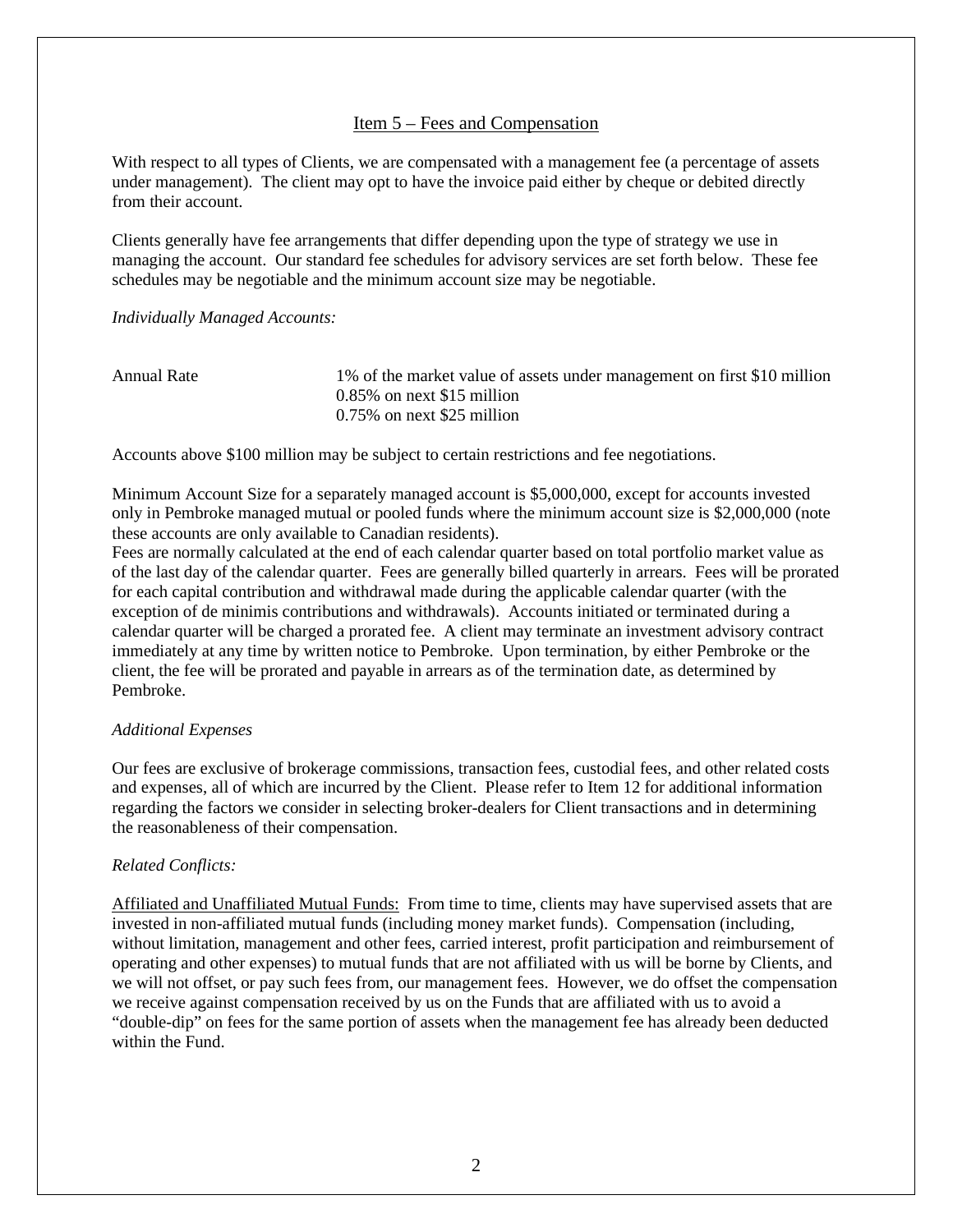### Item 5 – Fees and Compensation

<span id="page-3-0"></span>With respect to all types of Clients, we are compensated with a management fee (a percentage of assets under management). The client may opt to have the invoice paid either by cheque or debited directly from their account.

Clients generally have fee arrangements that differ depending upon the type of strategy we use in managing the account. Our standard fee schedules for advisory services are set forth below. These fee schedules may be negotiable and the minimum account size may be negotiable.

*Individually Managed Accounts:*

| Annual Rate | 1% of the market value of assets under management on first \$10 million |
|-------------|-------------------------------------------------------------------------|
|             | $0.85\%$ on next \$15 million                                           |
|             | $0.75\%$ on next \$25 million                                           |

Accounts above \$100 million may be subject to certain restrictions and fee negotiations.

Minimum Account Size for a separately managed account is \$5,000,000, except for accounts invested only in Pembroke managed mutual or pooled funds where the minimum account size is \$2,000,000 (note these accounts are only available to Canadian residents).

Fees are normally calculated at the end of each calendar quarter based on total portfolio market value as of the last day of the calendar quarter. Fees are generally billed quarterly in arrears. Fees will be prorated for each capital contribution and withdrawal made during the applicable calendar quarter (with the exception of de minimis contributions and withdrawals). Accounts initiated or terminated during a calendar quarter will be charged a prorated fee. A client may terminate an investment advisory contract immediately at any time by written notice to Pembroke. Upon termination, by either Pembroke or the client, the fee will be prorated and payable in arrears as of the termination date, as determined by Pembroke.

#### *Additional Expenses*

Our fees are exclusive of brokerage commissions, transaction fees, custodial fees, and other related costs and expenses, all of which are incurred by the Client. Please refer to Item 12 for additional information regarding the factors we consider in selecting broker-dealers for Client transactions and in determining the reasonableness of their compensation.

### *Related Conflicts:*

Affiliated and Unaffiliated Mutual Funds: From time to time, clients may have supervised assets that are invested in non-affiliated mutual funds (including money market funds). Compensation (including, without limitation, management and other fees, carried interest, profit participation and reimbursement of operating and other expenses) to mutual funds that are not affiliated with us will be borne by Clients, and we will not offset, or pay such fees from, our management fees. However, we do offset the compensation we receive against compensation received by us on the Funds that are affiliated with us to avoid a "double-dip" on fees for the same portion of assets when the management fee has already been deducted within the Fund.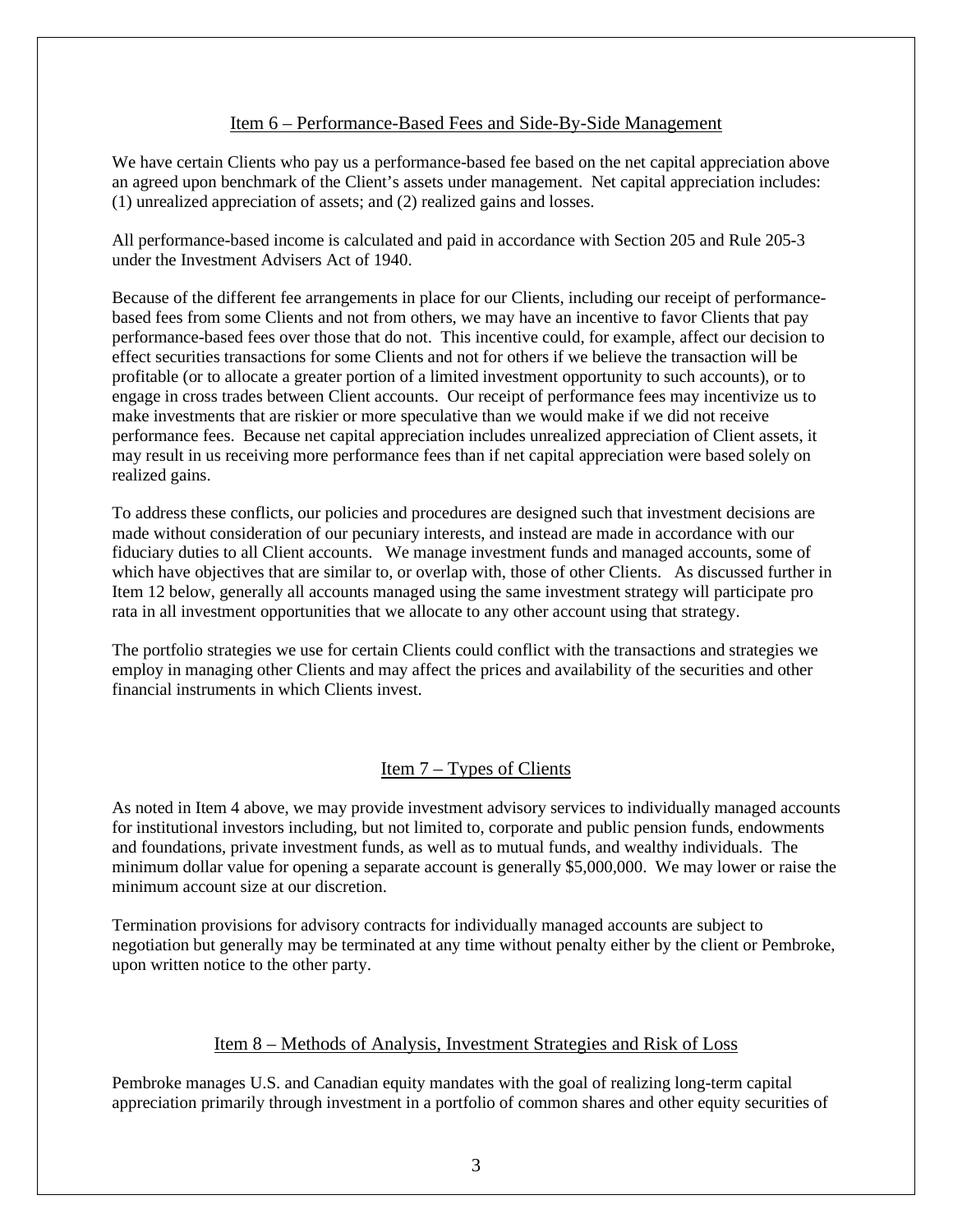### Item 6 – Performance-Based Fees and Side-By-Side Management

<span id="page-4-0"></span>We have certain Clients who pay us a performance-based fee based on the net capital appreciation above an agreed upon benchmark of the Client's assets under management. Net capital appreciation includes: (1) unrealized appreciation of assets; and (2) realized gains and losses.

All performance-based income is calculated and paid in accordance with Section 205 and Rule 205-3 under the Investment Advisers Act of 1940.

Because of the different fee arrangements in place for our Clients, including our receipt of performancebased fees from some Clients and not from others, we may have an incentive to favor Clients that pay performance-based fees over those that do not. This incentive could, for example, affect our decision to effect securities transactions for some Clients and not for others if we believe the transaction will be profitable (or to allocate a greater portion of a limited investment opportunity to such accounts), or to engage in cross trades between Client accounts. Our receipt of performance fees may incentivize us to make investments that are riskier or more speculative than we would make if we did not receive performance fees. Because net capital appreciation includes unrealized appreciation of Client assets, it may result in us receiving more performance fees than if net capital appreciation were based solely on realized gains.

To address these conflicts, our policies and procedures are designed such that investment decisions are made without consideration of our pecuniary interests, and instead are made in accordance with our fiduciary duties to all Client accounts. We manage investment funds and managed accounts, some of which have objectives that are similar to, or overlap with, those of other Clients. As discussed further in Item 12 below, generally all accounts managed using the same investment strategy will participate pro rata in all investment opportunities that we allocate to any other account using that strategy.

<span id="page-4-1"></span>The portfolio strategies we use for certain Clients could conflict with the transactions and strategies we employ in managing other Clients and may affect the prices and availability of the securities and other financial instruments in which Clients invest.

### Item 7 – Types of Clients

As noted in Item 4 above, we may provide investment advisory services to individually managed accounts for institutional investors including, but not limited to, corporate and public pension funds, endowments and foundations, private investment funds, as well as to mutual funds, and wealthy individuals. The minimum dollar value for opening a separate account is generally \$5,000,000. We may lower or raise the minimum account size at our discretion.

<span id="page-4-2"></span>Termination provisions for advisory contracts for individually managed accounts are subject to negotiation but generally may be terminated at any time without penalty either by the client or Pembroke, upon written notice to the other party.

### Item 8 – Methods of Analysis, Investment Strategies and Risk of Loss

Pembroke manages U.S. and Canadian equity mandates with the goal of realizing long-term capital appreciation primarily through investment in a portfolio of common shares and other equity securities of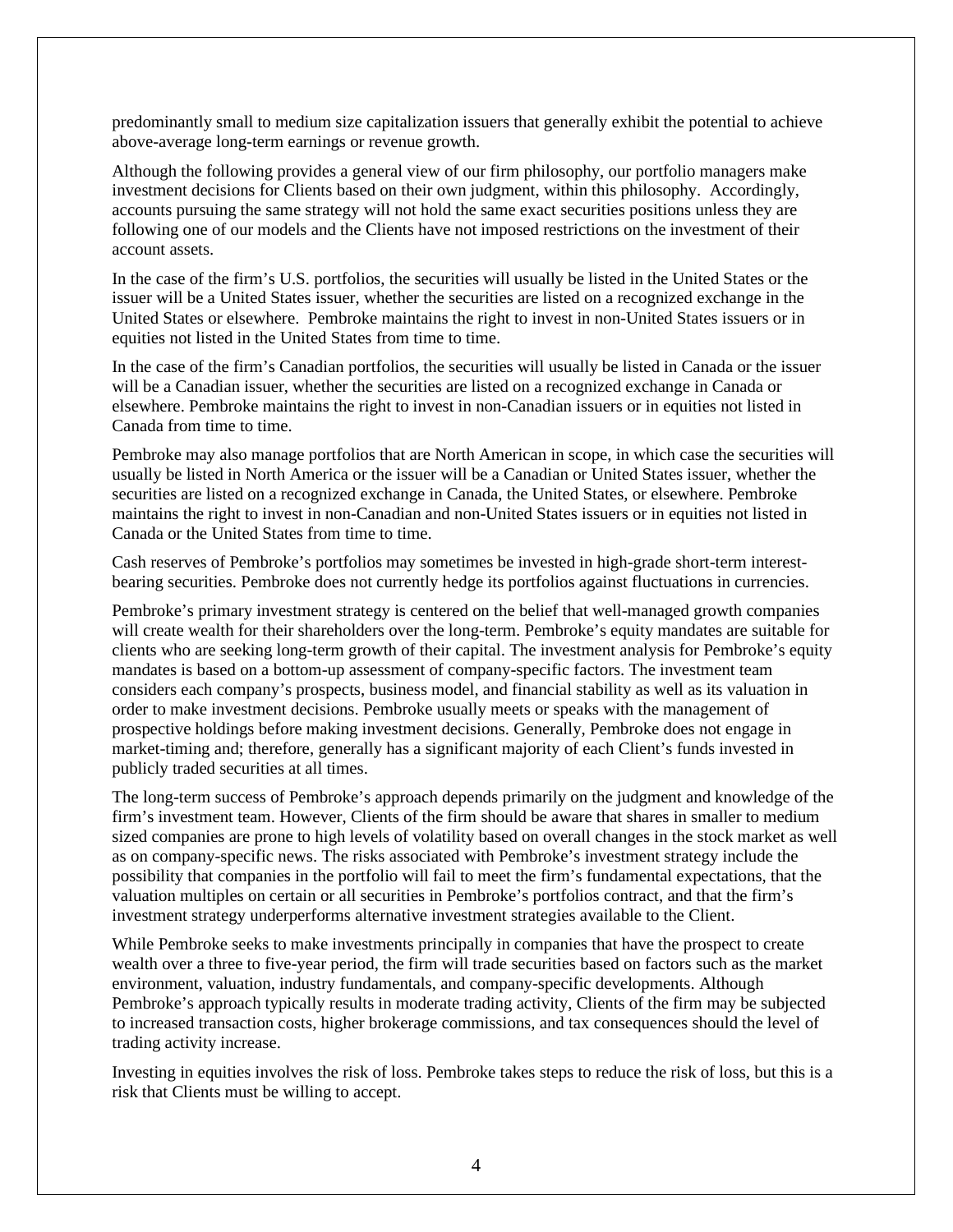predominantly small to medium size capitalization issuers that generally exhibit the potential to achieve above-average long-term earnings or revenue growth.

Although the following provides a general view of our firm philosophy, our portfolio managers make investment decisions for Clients based on their own judgment, within this philosophy. Accordingly, accounts pursuing the same strategy will not hold the same exact securities positions unless they are following one of our models and the Clients have not imposed restrictions on the investment of their account assets.

In the case of the firm's U.S. portfolios, the securities will usually be listed in the United States or the issuer will be a United States issuer, whether the securities are listed on a recognized exchange in the United States or elsewhere. Pembroke maintains the right to invest in non-United States issuers or in equities not listed in the United States from time to time.

In the case of the firm's Canadian portfolios, the securities will usually be listed in Canada or the issuer will be a Canadian issuer, whether the securities are listed on a recognized exchange in Canada or elsewhere. Pembroke maintains the right to invest in non-Canadian issuers or in equities not listed in Canada from time to time.

Pembroke may also manage portfolios that are North American in scope, in which case the securities will usually be listed in North America or the issuer will be a Canadian or United States issuer, whether the securities are listed on a recognized exchange in Canada, the United States, or elsewhere. Pembroke maintains the right to invest in non-Canadian and non-United States issuers or in equities not listed in Canada or the United States from time to time.

Cash reserves of Pembroke's portfolios may sometimes be invested in high-grade short-term interestbearing securities. Pembroke does not currently hedge its portfolios against fluctuations in currencies.

Pembroke's primary investment strategy is centered on the belief that well-managed growth companies will create wealth for their shareholders over the long-term. Pembroke's equity mandates are suitable for clients who are seeking long-term growth of their capital. The investment analysis for Pembroke's equity mandates is based on a bottom-up assessment of company-specific factors. The investment team considers each company's prospects, business model, and financial stability as well as its valuation in order to make investment decisions. Pembroke usually meets or speaks with the management of prospective holdings before making investment decisions. Generally, Pembroke does not engage in market-timing and; therefore, generally has a significant majority of each Client's funds invested in publicly traded securities at all times.

The long-term success of Pembroke's approach depends primarily on the judgment and knowledge of the firm's investment team. However, Clients of the firm should be aware that shares in smaller to medium sized companies are prone to high levels of volatility based on overall changes in the stock market as well as on company-specific news. The risks associated with Pembroke's investment strategy include the possibility that companies in the portfolio will fail to meet the firm's fundamental expectations, that the valuation multiples on certain or all securities in Pembroke's portfolios contract, and that the firm's investment strategy underperforms alternative investment strategies available to the Client.

While Pembroke seeks to make investments principally in companies that have the prospect to create wealth over a three to five-year period, the firm will trade securities based on factors such as the market environment, valuation, industry fundamentals, and company-specific developments. Although Pembroke's approach typically results in moderate trading activity, Clients of the firm may be subjected to increased transaction costs, higher brokerage commissions, and tax consequences should the level of trading activity increase.

Investing in equities involves the risk of loss. Pembroke takes steps to reduce the risk of loss, but this is a risk that Clients must be willing to accept.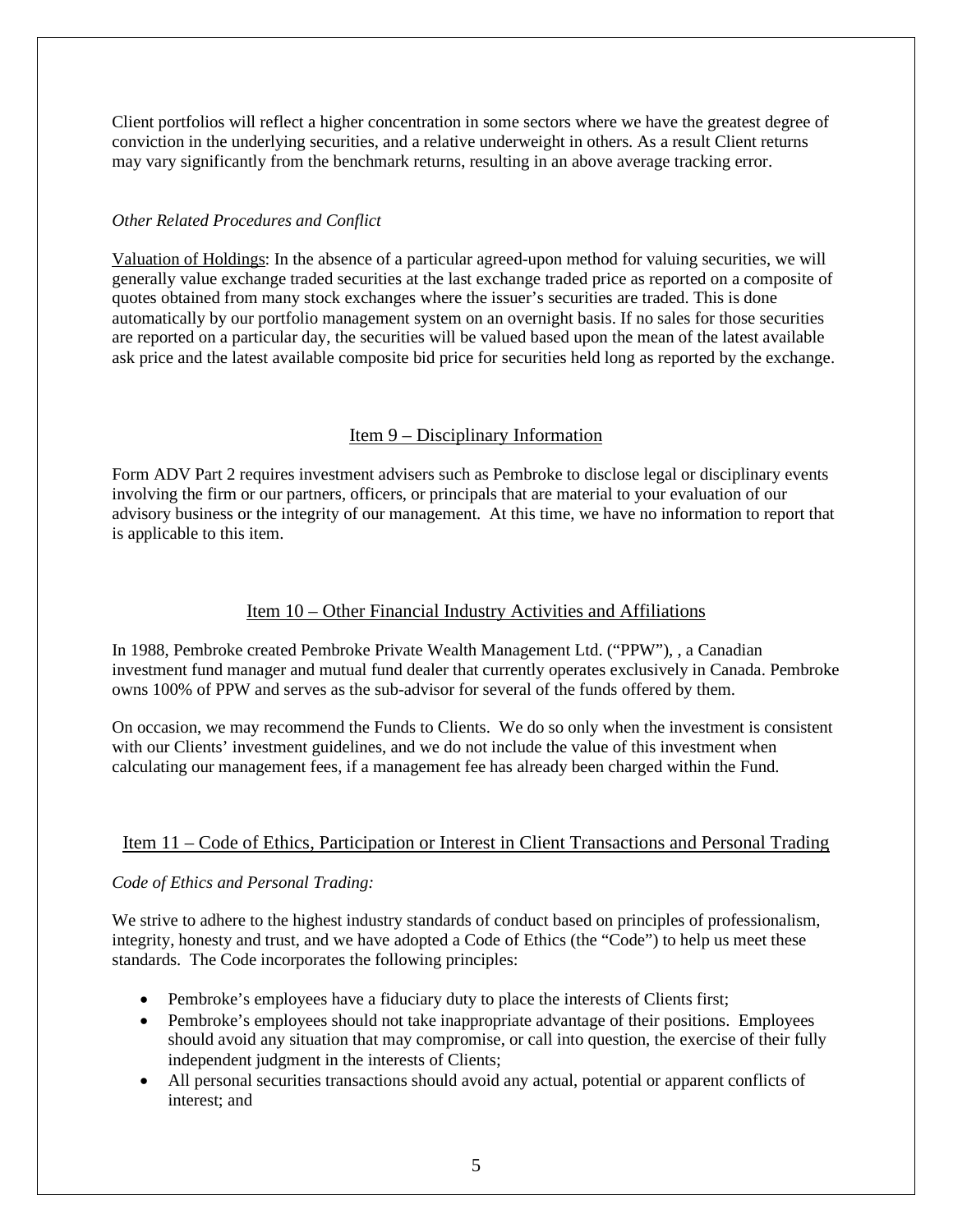Client portfolios will reflect a higher concentration in some sectors where we have the greatest degree of conviction in the underlying securities, and a relative underweight in others. As a result Client returns may vary significantly from the benchmark returns, resulting in an above average tracking error.

### *Other Related Procedures and Conflict*

Valuation of Holdings: In the absence of a particular agreed-upon method for valuing securities, we will generally value exchange traded securities at the last exchange traded price as reported on a composite of quotes obtained from many stock exchanges where the issuer's securities are traded. This is done automatically by our portfolio management system on an overnight basis. If no sales for those securities are reported on a particular day, the securities will be valued based upon the mean of the latest available ask price and the latest available composite bid price for securities held long as reported by the exchange.

### Item 9 – Disciplinary Information

<span id="page-6-0"></span>Form ADV Part 2 requires investment advisers such as Pembroke to disclose legal or disciplinary events involving the firm or our partners, officers, or principals that are material to your evaluation of our advisory business or the integrity of our management. At this time, we have no information to report that is applicable to this item.

### Item 10 – Other Financial Industry Activities and Affiliations

<span id="page-6-1"></span>In 1988, Pembroke created Pembroke Private Wealth Management Ltd. ("PPW"), , a Canadian investment fund manager and mutual fund dealer that currently operates exclusively in Canada. Pembroke owns 100% of PPW and serves as the sub-advisor for several of the funds offered by them.

On occasion, we may recommend the Funds to Clients. We do so only when the investment is consistent with our Clients' investment guidelines, and we do not include the value of this investment when calculating our management fees, if a management fee has already been charged within the Fund.

### <span id="page-6-2"></span>Item 11 – Code of Ethics, Participation or Interest in Client Transactions and Personal Trading

### *Code of Ethics and Personal Trading:*

We strive to adhere to the highest industry standards of conduct based on principles of professionalism, integrity, honesty and trust, and we have adopted a Code of Ethics (the "Code") to help us meet these standards. The Code incorporates the following principles:

- Pembroke's employees have a fiduciary duty to place the interests of Clients first;
- Pembroke's employees should not take inappropriate advantage of their positions. Employees should avoid any situation that may compromise, or call into question, the exercise of their fully independent judgment in the interests of Clients;
- All personal securities transactions should avoid any actual, potential or apparent conflicts of interest; and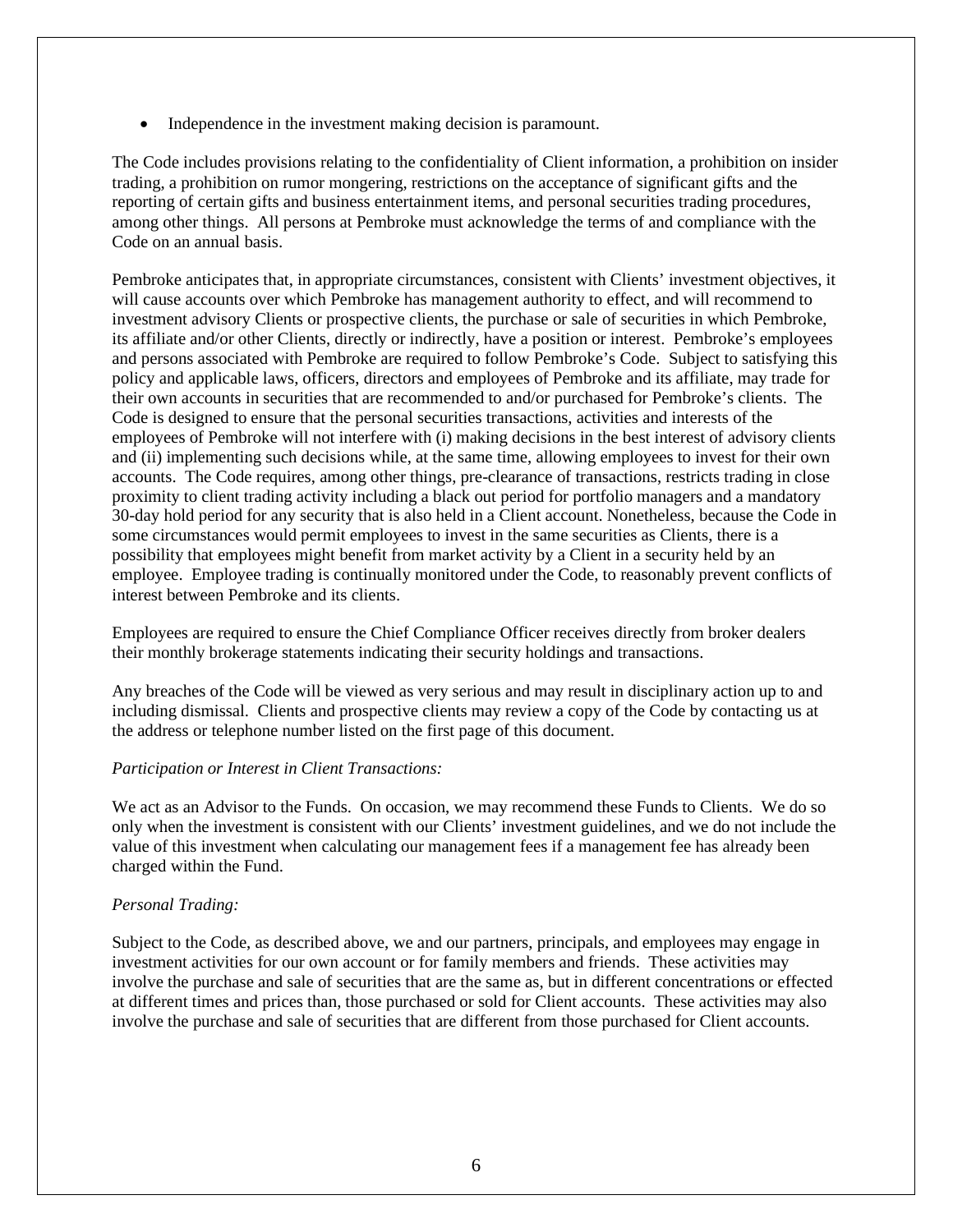• Independence in the investment making decision is paramount.

The Code includes provisions relating to the confidentiality of Client information, a prohibition on insider trading, a prohibition on rumor mongering, restrictions on the acceptance of significant gifts and the reporting of certain gifts and business entertainment items, and personal securities trading procedures, among other things. All persons at Pembroke must acknowledge the terms of and compliance with the Code on an annual basis.

Pembroke anticipates that, in appropriate circumstances, consistent with Clients' investment objectives, it will cause accounts over which Pembroke has management authority to effect, and will recommend to investment advisory Clients or prospective clients, the purchase or sale of securities in which Pembroke, its affiliate and/or other Clients, directly or indirectly, have a position or interest. Pembroke's employees and persons associated with Pembroke are required to follow Pembroke's Code. Subject to satisfying this policy and applicable laws, officers, directors and employees of Pembroke and its affiliate, may trade for their own accounts in securities that are recommended to and/or purchased for Pembroke's clients. The Code is designed to ensure that the personal securities transactions, activities and interests of the employees of Pembroke will not interfere with (i) making decisions in the best interest of advisory clients and (ii) implementing such decisions while, at the same time, allowing employees to invest for their own accounts. The Code requires, among other things, pre-clearance of transactions, restricts trading in close proximity to client trading activity including a black out period for portfolio managers and a mandatory 30-day hold period for any security that is also held in a Client account. Nonetheless, because the Code in some circumstances would permit employees to invest in the same securities as Clients, there is a possibility that employees might benefit from market activity by a Client in a security held by an employee. Employee trading is continually monitored under the Code, to reasonably prevent conflicts of interest between Pembroke and its clients.

Employees are required to ensure the Chief Compliance Officer receives directly from broker dealers their monthly brokerage statements indicating their security holdings and transactions.

Any breaches of the Code will be viewed as very serious and may result in disciplinary action up to and including dismissal. Clients and prospective clients may review a copy of the Code by contacting us at the address or telephone number listed on the first page of this document.

### *Participation or Interest in Client Transactions:*

We act as an Advisor to the Funds. On occasion, we may recommend these Funds to Clients. We do so only when the investment is consistent with our Clients' investment guidelines, and we do not include the value of this investment when calculating our management fees if a management fee has already been charged within the Fund.

#### *Personal Trading:*

Subject to the Code, as described above, we and our partners, principals, and employees may engage in investment activities for our own account or for family members and friends. These activities may involve the purchase and sale of securities that are the same as, but in different concentrations or effected at different times and prices than, those purchased or sold for Client accounts. These activities may also involve the purchase and sale of securities that are different from those purchased for Client accounts.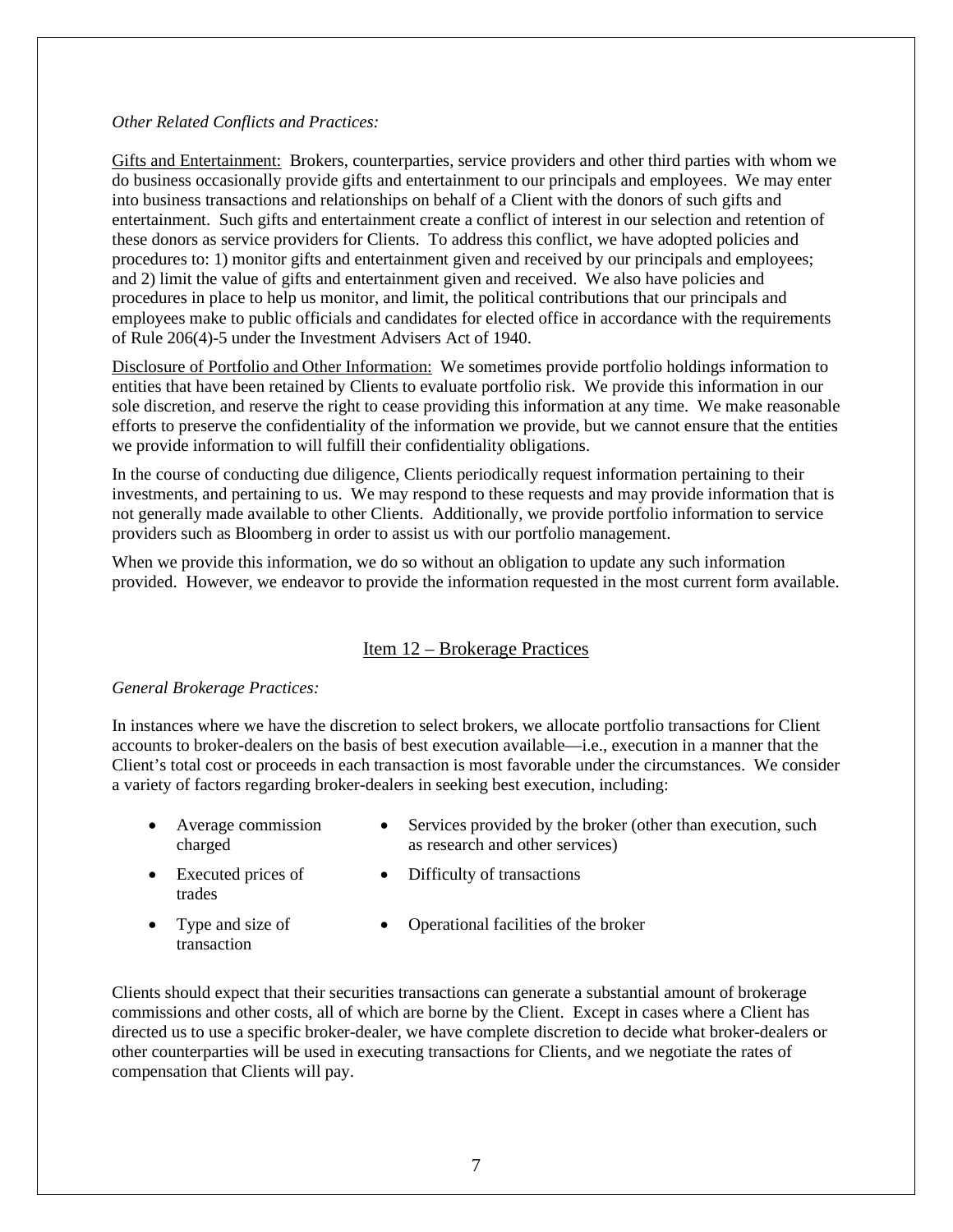#### *Other Related Conflicts and Practices:*

Gifts and Entertainment: Brokers, counterparties, service providers and other third parties with whom we do business occasionally provide gifts and entertainment to our principals and employees. We may enter into business transactions and relationships on behalf of a Client with the donors of such gifts and entertainment. Such gifts and entertainment create a conflict of interest in our selection and retention of these donors as service providers for Clients. To address this conflict, we have adopted policies and procedures to: 1) monitor gifts and entertainment given and received by our principals and employees; and 2) limit the value of gifts and entertainment given and received. We also have policies and procedures in place to help us monitor, and limit, the political contributions that our principals and employees make to public officials and candidates for elected office in accordance with the requirements of Rule 206(4)-5 under the Investment Advisers Act of 1940.

Disclosure of Portfolio and Other Information: We sometimes provide portfolio holdings information to entities that have been retained by Clients to evaluate portfolio risk. We provide this information in our sole discretion, and reserve the right to cease providing this information at any time. We make reasonable efforts to preserve the confidentiality of the information we provide, but we cannot ensure that the entities we provide information to will fulfill their confidentiality obligations.

In the course of conducting due diligence, Clients periodically request information pertaining to their investments, and pertaining to us. We may respond to these requests and may provide information that is not generally made available to other Clients. Additionally, we provide portfolio information to service providers such as Bloomberg in order to assist us with our portfolio management.

When we provide this information, we do so without an obligation to update any such information provided. However, we endeavor to provide the information requested in the most current form available.

### Item 12 – Brokerage Practices

### <span id="page-8-0"></span>*General Brokerage Practices:*

In instances where we have the discretion to select brokers, we allocate portfolio transactions for Client accounts to broker-dealers on the basis of best execution available—i.e., execution in a manner that the Client's total cost or proceeds in each transaction is most favorable under the circumstances. We consider a variety of factors regarding broker-dealers in seeking best execution, including:

- Average commission charged
- Services provided by the broker (other than execution, such as research and other services)
- Executed prices of trades
- Difficulty of transactions
- Type and size of transaction
- Operational facilities of the broker

Clients should expect that their securities transactions can generate a substantial amount of brokerage commissions and other costs, all of which are borne by the Client. Except in cases where a Client has directed us to use a specific broker-dealer, we have complete discretion to decide what broker-dealers or other counterparties will be used in executing transactions for Clients, and we negotiate the rates of compensation that Clients will pay.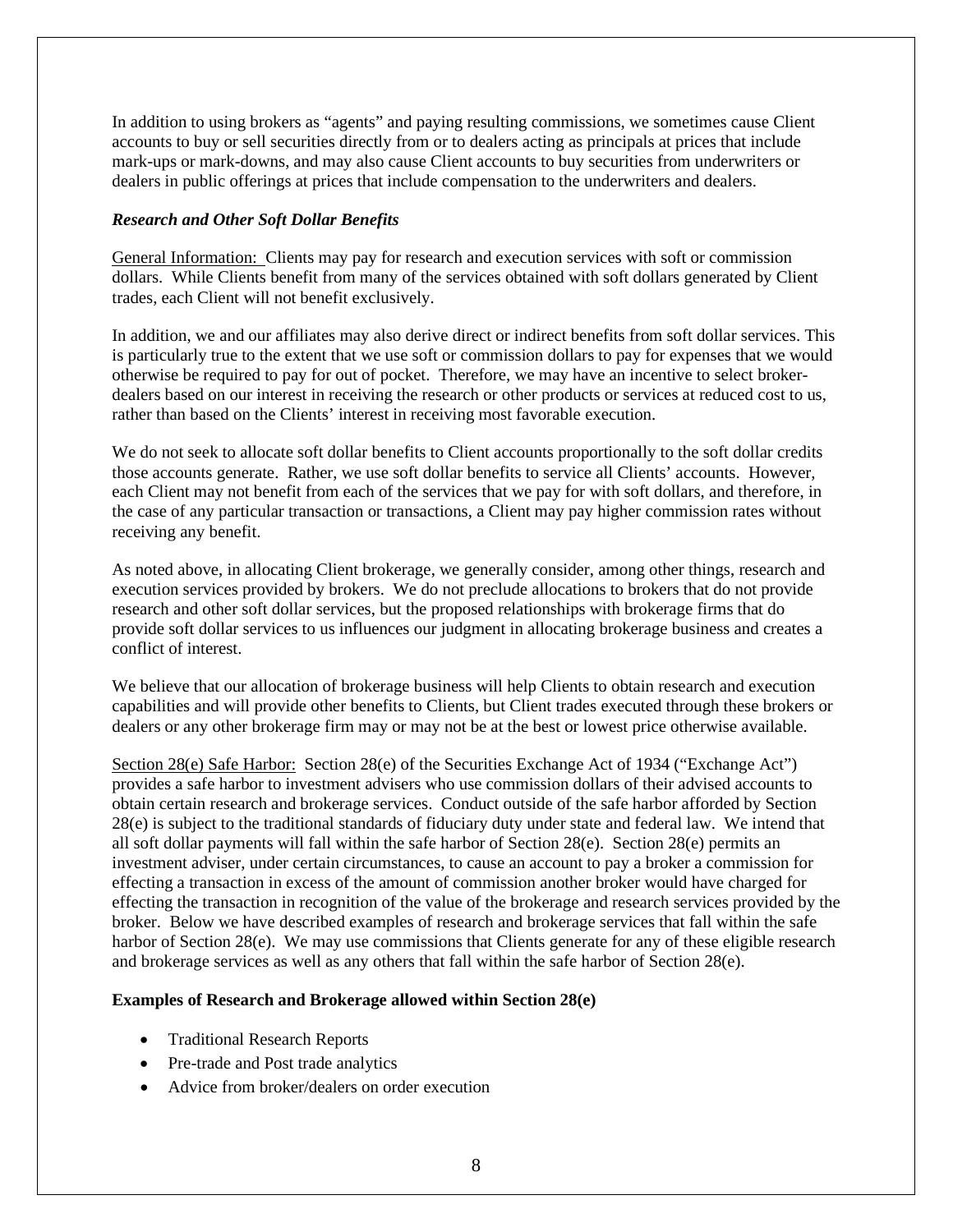In addition to using brokers as "agents" and paying resulting commissions, we sometimes cause Client accounts to buy or sell securities directly from or to dealers acting as principals at prices that include mark-ups or mark-downs, and may also cause Client accounts to buy securities from underwriters or dealers in public offerings at prices that include compensation to the underwriters and dealers.

### *Research and Other Soft Dollar Benefits*

General Information: Clients may pay for research and execution services with soft or commission dollars. While Clients benefit from many of the services obtained with soft dollars generated by Client trades, each Client will not benefit exclusively.

In addition, we and our affiliates may also derive direct or indirect benefits from soft dollar services. This is particularly true to the extent that we use soft or commission dollars to pay for expenses that we would otherwise be required to pay for out of pocket. Therefore, we may have an incentive to select brokerdealers based on our interest in receiving the research or other products or services at reduced cost to us, rather than based on the Clients' interest in receiving most favorable execution.

We do not seek to allocate soft dollar benefits to Client accounts proportionally to the soft dollar credits those accounts generate. Rather, we use soft dollar benefits to service all Clients' accounts. However, each Client may not benefit from each of the services that we pay for with soft dollars, and therefore, in the case of any particular transaction or transactions, a Client may pay higher commission rates without receiving any benefit.

As noted above, in allocating Client brokerage, we generally consider, among other things, research and execution services provided by brokers. We do not preclude allocations to brokers that do not provide research and other soft dollar services, but the proposed relationships with brokerage firms that do provide soft dollar services to us influences our judgment in allocating brokerage business and creates a conflict of interest.

We believe that our allocation of brokerage business will help Clients to obtain research and execution capabilities and will provide other benefits to Clients, but Client trades executed through these brokers or dealers or any other brokerage firm may or may not be at the best or lowest price otherwise available.

Section 28(e) Safe Harbor: Section 28(e) of the Securities Exchange Act of 1934 ("Exchange Act") provides a safe harbor to investment advisers who use commission dollars of their advised accounts to obtain certain research and brokerage services. Conduct outside of the safe harbor afforded by Section 28(e) is subject to the traditional standards of fiduciary duty under state and federal law. We intend that all soft dollar payments will fall within the safe harbor of Section 28(e). Section 28(e) permits an investment adviser, under certain circumstances, to cause an account to pay a broker a commission for effecting a transaction in excess of the amount of commission another broker would have charged for effecting the transaction in recognition of the value of the brokerage and research services provided by the broker. Below we have described examples of research and brokerage services that fall within the safe harbor of Section 28(e). We may use commissions that Clients generate for any of these eligible research and brokerage services as well as any others that fall within the safe harbor of Section 28(e).

### **Examples of Research and Brokerage allowed within Section 28(e)**

- Traditional Research Reports
- Pre-trade and Post trade analytics
- Advice from broker/dealers on order execution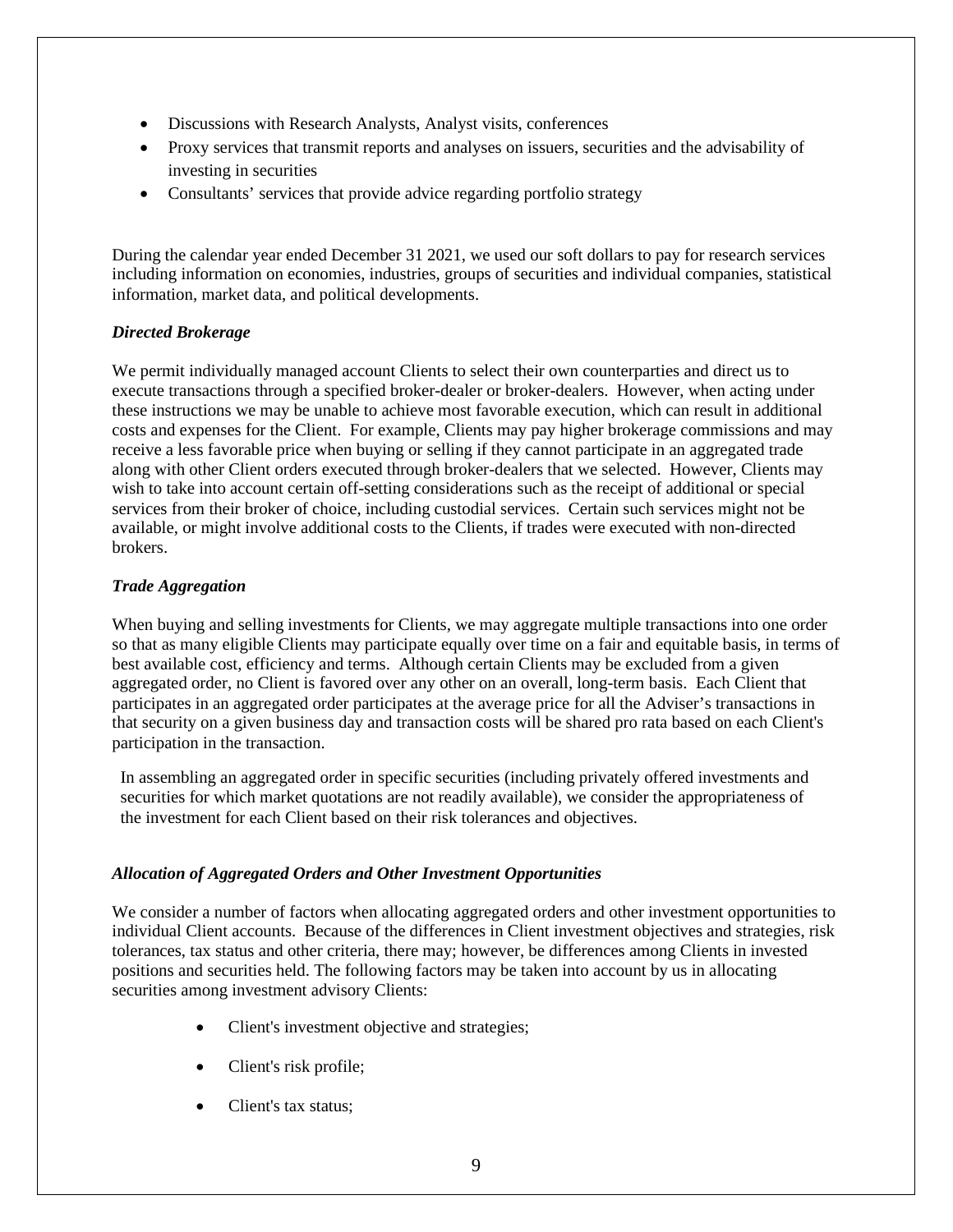- Discussions with Research Analysts, Analyst visits, conferences
- Proxy services that transmit reports and analyses on issuers, securities and the advisability of investing in securities
- Consultants' services that provide advice regarding portfolio strategy

During the calendar year ended December 31 2021, we used our soft dollars to pay for research services including information on economies, industries, groups of securities and individual companies, statistical information, market data, and political developments.

### *Directed Brokerage*

We permit individually managed account Clients to select their own counterparties and direct us to execute transactions through a specified broker-dealer or broker-dealers. However, when acting under these instructions we may be unable to achieve most favorable execution, which can result in additional costs and expenses for the Client. For example, Clients may pay higher brokerage commissions and may receive a less favorable price when buying or selling if they cannot participate in an aggregated trade along with other Client orders executed through broker-dealers that we selected. However, Clients may wish to take into account certain off-setting considerations such as the receipt of additional or special services from their broker of choice, including custodial services. Certain such services might not be available, or might involve additional costs to the Clients, if trades were executed with non-directed brokers.

### *Trade Aggregation*

When buying and selling investments for Clients, we may aggregate multiple transactions into one order so that as many eligible Clients may participate equally over time on a fair and equitable basis, in terms of best available cost, efficiency and terms. Although certain Clients may be excluded from a given aggregated order, no Client is favored over any other on an overall, long-term basis. Each Client that participates in an aggregated order participates at the average price for all the Adviser's transactions in that security on a given business day and transaction costs will be shared pro rata based on each Client's participation in the transaction.

In assembling an aggregated order in specific securities (including privately offered investments and securities for which market quotations are not readily available), we consider the appropriateness of the investment for each Client based on their risk tolerances and objectives.

### *Allocation of Aggregated Orders and Other Investment Opportunities*

We consider a number of factors when allocating aggregated orders and other investment opportunities to individual Client accounts. Because of the differences in Client investment objectives and strategies, risk tolerances, tax status and other criteria, there may; however, be differences among Clients in invested positions and securities held. The following factors may be taken into account by us in allocating securities among investment advisory Clients:

- Client's investment objective and strategies;
- Client's risk profile;
- Client's tax status;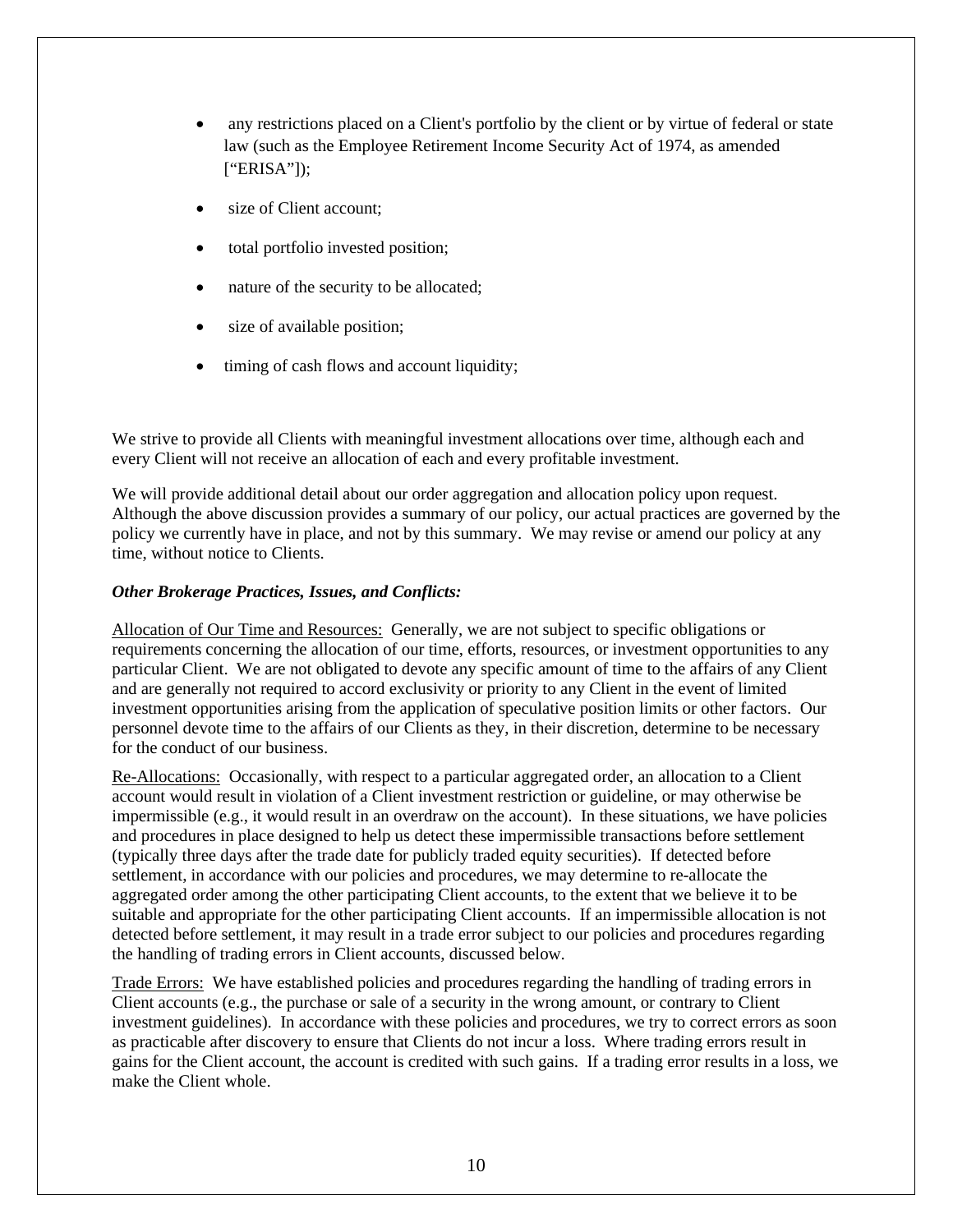- any restrictions placed on a Client's portfolio by the client or by virtue of federal or state law (such as the Employee Retirement Income Security Act of 1974, as amended ["ERISA"]);
- size of Client account:
- total portfolio invested position;
- nature of the security to be allocated;
- size of available position;
- timing of cash flows and account liquidity;

We strive to provide all Clients with meaningful investment allocations over time, although each and every Client will not receive an allocation of each and every profitable investment.

We will provide additional detail about our order aggregation and allocation policy upon request. Although the above discussion provides a summary of our policy, our actual practices are governed by the policy we currently have in place, and not by this summary. We may revise or amend our policy at any time, without notice to Clients.

### *Other Brokerage Practices, Issues, and Conflicts:*

Allocation of Our Time and Resources: Generally, we are not subject to specific obligations or requirements concerning the allocation of our time, efforts, resources, or investment opportunities to any particular Client. We are not obligated to devote any specific amount of time to the affairs of any Client and are generally not required to accord exclusivity or priority to any Client in the event of limited investment opportunities arising from the application of speculative position limits or other factors. Our personnel devote time to the affairs of our Clients as they, in their discretion, determine to be necessary for the conduct of our business.

Re-Allocations: Occasionally, with respect to a particular aggregated order, an allocation to a Client account would result in violation of a Client investment restriction or guideline, or may otherwise be impermissible (e.g., it would result in an overdraw on the account). In these situations, we have policies and procedures in place designed to help us detect these impermissible transactions before settlement (typically three days after the trade date for publicly traded equity securities). If detected before settlement, in accordance with our policies and procedures, we may determine to re-allocate the aggregated order among the other participating Client accounts, to the extent that we believe it to be suitable and appropriate for the other participating Client accounts. If an impermissible allocation is not detected before settlement, it may result in a trade error subject to our policies and procedures regarding the handling of trading errors in Client accounts, discussed below.

Trade Errors: We have established policies and procedures regarding the handling of trading errors in Client accounts (e.g., the purchase or sale of a security in the wrong amount, or contrary to Client investment guidelines). In accordance with these policies and procedures, we try to correct errors as soon as practicable after discovery to ensure that Clients do not incur a loss. Where trading errors result in gains for the Client account, the account is credited with such gains. If a trading error results in a loss, we make the Client whole.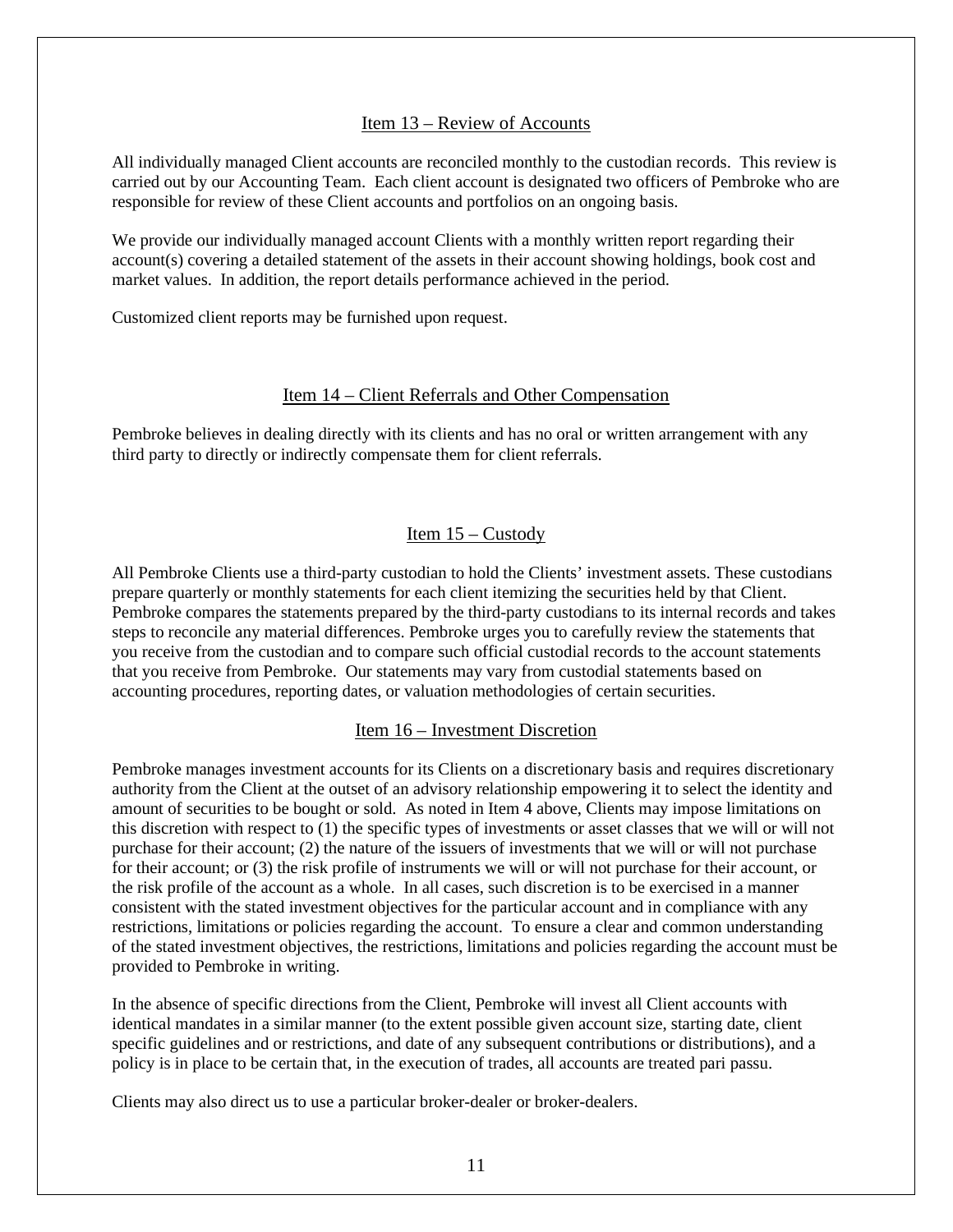### Item 13 – Review of Accounts

<span id="page-12-0"></span>All individually managed Client accounts are reconciled monthly to the custodian records. This review is carried out by our Accounting Team. Each client account is designated two officers of Pembroke who are responsible for review of these Client accounts and portfolios on an ongoing basis.

We provide our individually managed account Clients with a monthly written report regarding their account(s) covering a detailed statement of the assets in their account showing holdings, book cost and market values. In addition, the report details performance achieved in the period.

Customized client reports may be furnished upon request.

#### Item 14 – Client Referrals and Other Compensation

<span id="page-12-2"></span><span id="page-12-1"></span>Pembroke believes in dealing directly with its clients and has no oral or written arrangement with any third party to directly or indirectly compensate them for client referrals.

### Item 15 – Custody

<span id="page-12-3"></span>All Pembroke Clients use a third-party custodian to hold the Clients' investment assets. These custodians prepare quarterly or monthly statements for each client itemizing the securities held by that Client. Pembroke compares the statements prepared by the third-party custodians to its internal records and takes steps to reconcile any material differences. Pembroke urges you to carefully review the statements that you receive from the custodian and to compare such official custodial records to the account statements that you receive from Pembroke. Our statements may vary from custodial statements based on accounting procedures, reporting dates, or valuation methodologies of certain securities.

#### Item 16 – Investment Discretion

Pembroke manages investment accounts for its Clients on a discretionary basis and requires discretionary authority from the Client at the outset of an advisory relationship empowering it to select the identity and amount of securities to be bought or sold. As noted in Item 4 above, Clients may impose limitations on this discretion with respect to (1) the specific types of investments or asset classes that we will or will not purchase for their account; (2) the nature of the issuers of investments that we will or will not purchase for their account; or (3) the risk profile of instruments we will or will not purchase for their account, or the risk profile of the account as a whole. In all cases, such discretion is to be exercised in a manner consistent with the stated investment objectives for the particular account and in compliance with any restrictions, limitations or policies regarding the account. To ensure a clear and common understanding of the stated investment objectives, the restrictions, limitations and policies regarding the account must be provided to Pembroke in writing.

In the absence of specific directions from the Client, Pembroke will invest all Client accounts with identical mandates in a similar manner (to the extent possible given account size, starting date, client specific guidelines and or restrictions, and date of any subsequent contributions or distributions), and a policy is in place to be certain that, in the execution of trades, all accounts are treated pari passu.

Clients may also direct us to use a particular broker-dealer or broker-dealers.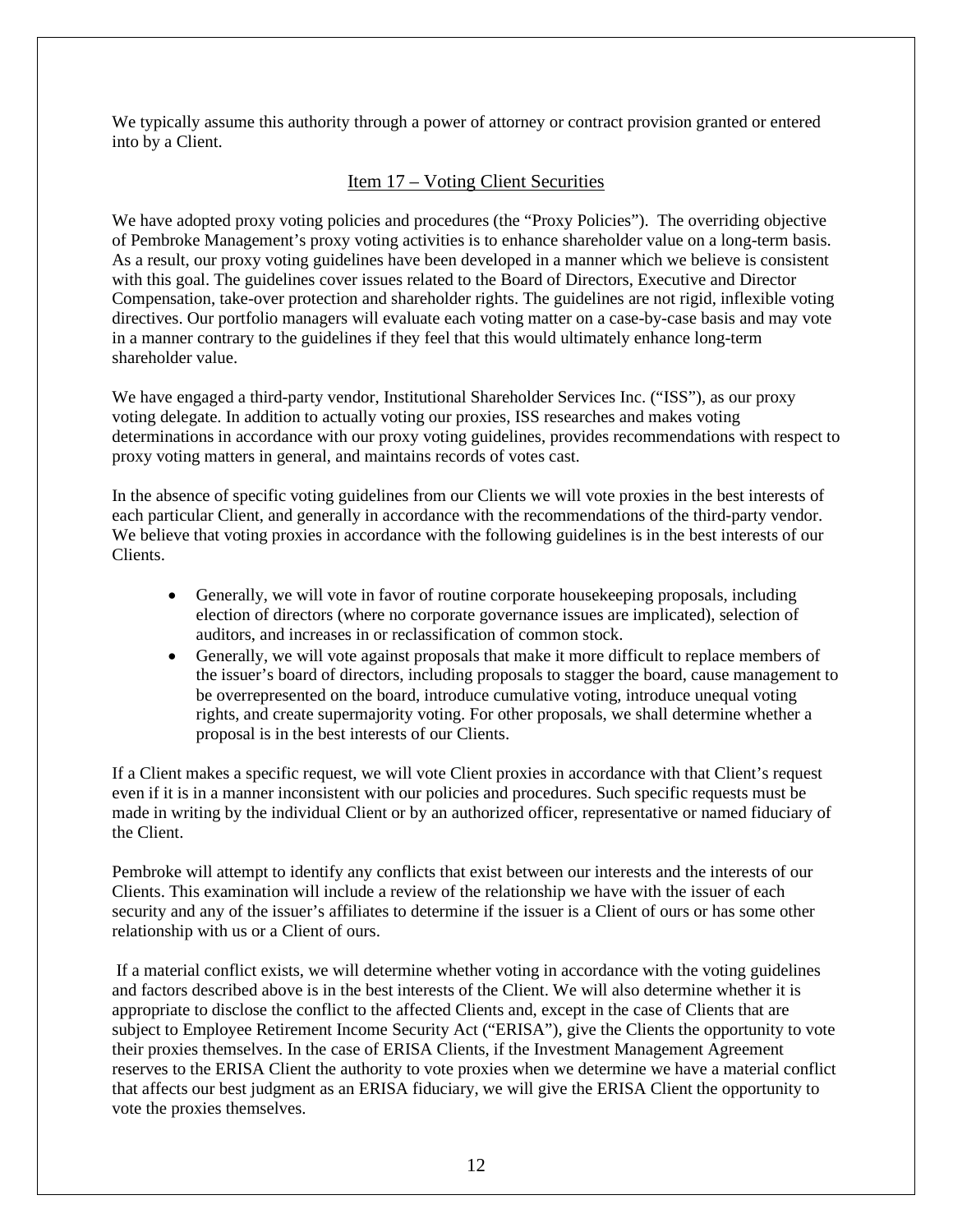<span id="page-13-0"></span>We typically assume this authority through a power of attorney or contract provision granted or entered into by a Client.

### Item 17 – Voting Client Securities

We have adopted proxy voting policies and procedures (the "Proxy Policies"). The overriding objective of Pembroke Management's proxy voting activities is to enhance shareholder value on a long-term basis. As a result, our proxy voting guidelines have been developed in a manner which we believe is consistent with this goal. The guidelines cover issues related to the Board of Directors, Executive and Director Compensation, take-over protection and shareholder rights. The guidelines are not rigid, inflexible voting directives. Our portfolio managers will evaluate each voting matter on a case-by-case basis and may vote in a manner contrary to the guidelines if they feel that this would ultimately enhance long-term shareholder value.

We have engaged a third-party vendor, Institutional Shareholder Services Inc. ("ISS"), as our proxy voting delegate. In addition to actually voting our proxies, ISS researches and makes voting determinations in accordance with our proxy voting guidelines, provides recommendations with respect to proxy voting matters in general, and maintains records of votes cast.

In the absence of specific voting guidelines from our Clients we will vote proxies in the best interests of each particular Client, and generally in accordance with the recommendations of the third-party vendor. We believe that voting proxies in accordance with the following guidelines is in the best interests of our Clients.

- Generally, we will vote in favor of routine corporate house keeping proposals, including election of directors (where no corporate governance issues are implicated), selection of auditors, and increases in or reclassification of common stock.
- Generally, we will vote against proposals that make it more difficult to replace members of the issuer's board of directors, including proposals to stagger the board, cause management to be overrepresented on the board, introduce cumulative voting, introduce unequal voting rights, and create supermajority voting. For other proposals, we shall determine whether a proposal is in the best interests of our Clients.

If a Client makes a specific request, we will vote Client proxies in accordance with that Client's request even if it is in a manner inconsistent with our policies and procedures. Such specific requests must be made in writing by the individual Client or by an authorized officer, representative or named fiduciary of the Client.

Pembroke will attempt to identify any conflicts that exist between our interests and the interests of our Clients. This examination will include a review of the relationship we have with the issuer of each security and any of the issuer's affiliates to determine if the issuer is a Client of ours or has some other relationship with us or a Client of ours.

If a material conflict exists, we will determine whether voting in accordance with the voting guidelines and factors described above is in the best interests of the Client. We will also determine whether it is appropriate to disclose the conflict to the affected Clients and, except in the case of Clients that are subject to Employee Retirement Income Security Act ("ERISA"), give the Clients the opportunity to vote their proxies themselves. In the case of ERISA Clients, if the Investment Management Agreement reserves to the ERISA Client the authority to vote proxies when we determine we have a material conflict that affects our best judgment as an ERISA fiduciary, we will give the ERISA Client the opportunity to vote the proxies themselves.